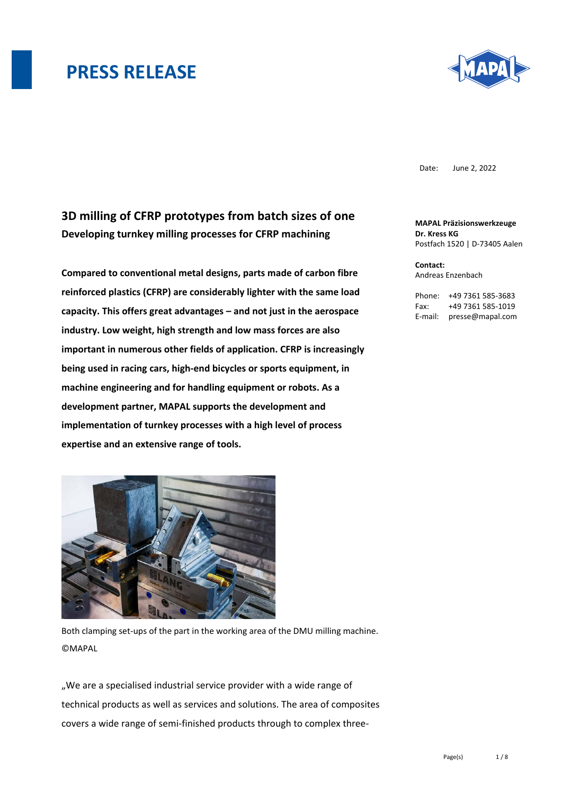

Date: June 2, 2022

### **3D milling of CFRP prototypes from batch sizes of one Developing turnkey milling processes for CFRP machining**

**Compared to conventional metal designs, parts made of carbon fibre reinforced plastics (CFRP) are considerably lighter with the same load capacity. This offers great advantages – and not just in the aerospace industry. Low weight, high strength and low mass forces are also important in numerous other fields of application. CFRP is increasingly being used in racing cars, high-end bicycles or sports equipment, in machine engineering and for handling equipment or robots. As a development partner, MAPAL supports the development and implementation of turnkey processes with a high level of process expertise and an extensive range of tools.**



Both clamping set-ups of the part in the working area of the DMU milling machine. **CMAPAL** 

"We are a specialised industrial service provider with a wide range of technical products as well as services and solutions. The area of composites covers a wide range of semi-finished products through to complex three**MAPAL Präzisionswerkzeuge Dr. Kress KG** Postfach 1520 | D-73405 Aalen

**Contact:**  Andreas Enzenbach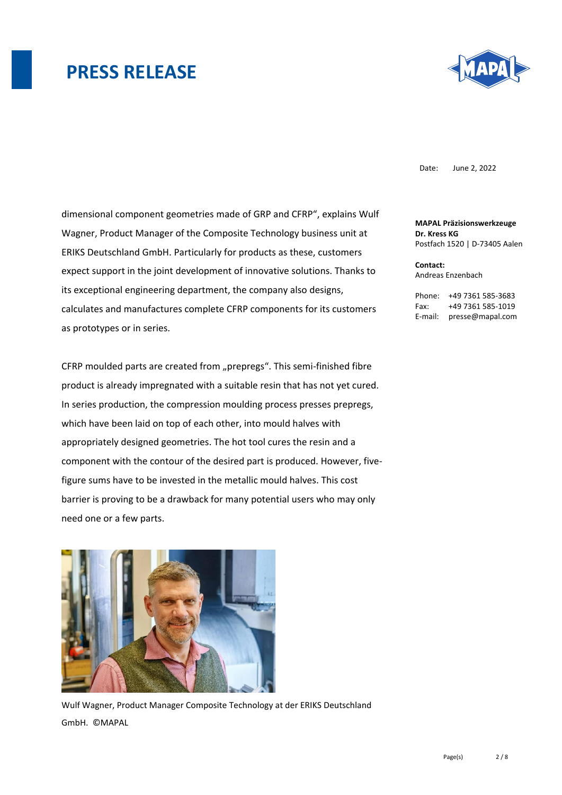

Date: June 2, 2022

dimensional component geometries made of GRP and CFRP", explains Wulf Wagner, Product Manager of the Composite Technology business unit at ERIKS Deutschland GmbH. Particularly for products as these, customers expect support in the joint development of innovative solutions. Thanks to its exceptional engineering department, the company also designs, calculates and manufactures complete CFRP components for its customers as prototypes or in series.

CFRP moulded parts are created from "prepregs". This semi-finished fibre product is already impregnated with a suitable resin that has not yet cured. In series production, the compression moulding process presses prepregs, which have been laid on top of each other, into mould halves with appropriately designed geometries. The hot tool cures the resin and a component with the contour of the desired part is produced. However, fivefigure sums have to be invested in the metallic mould halves. This cost barrier is proving to be a drawback for many potential users who may only need one or a few parts.



Wulf Wagner, Product Manager Composite Technology at der ERIKS Deutschland GmbH. ©MAPAL

**MAPAL Präzisionswerkzeuge Dr. Kress KG** Postfach 1520 | D-73405 Aalen

**Contact:**  Andreas Enzenbach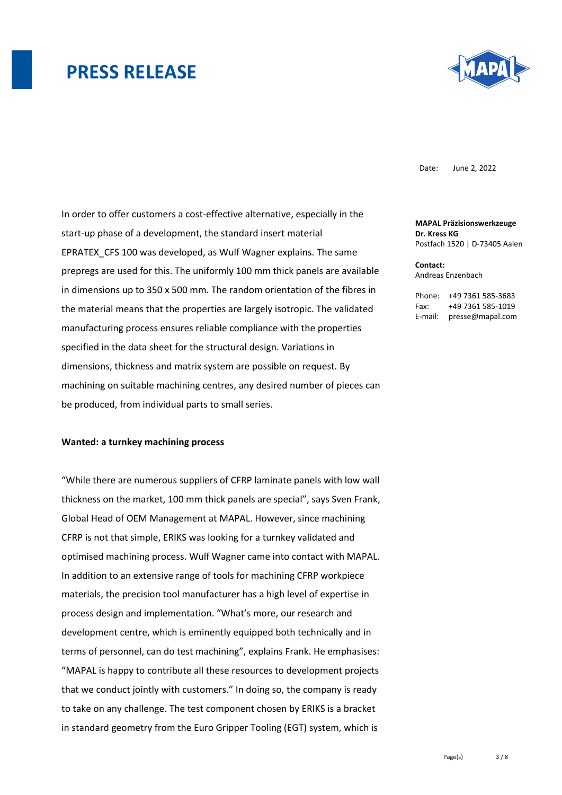

Date: June 2, 2022

In order to offer customers a cost-effective alternative, especially in the start-up phase of a development, the standard insert material EPRATEX\_CFS 100 was developed, as Wulf Wagner explains. The same prepregs are used for this. The uniformly 100 mm thick panels are available in dimensions up to 350 x 500 mm. The random orientation of the fibres in the material means that the properties are largely isotropic. The validated manufacturing process ensures reliable compliance with the properties specified in the data sheet for the structural design. Variations in dimensions, thickness and matrix system are possible on request. By machining on suitable machining centres, any desired number of pieces can be produced, from individual parts to small series.

#### **Wanted: a turnkey machining process**

"While there are numerous suppliers of CFRP laminate panels with low wall thickness on the market, 100 mm thick panels are special", says Sven Frank, Global Head of OEM Management at MAPAL. However, since machining CFRP is not that simple, ERIKS was looking for a turnkey validated and optimised machining process. Wulf Wagner came into contact with MAPAL. In addition to an extensive range of tools for machining CFRP workpiece materials, the precision tool manufacturer has a high level of expertise in process design and implementation. "What's more, our research and development centre, which is eminently equipped both technically and in terms of personnel, can do test machining", explains Frank. He emphasises: "MAPAL is happy to contribute all these resources to development projects that we conduct jointly with customers." In doing so, the company is ready to take on any challenge. The test component chosen by ERIKS is a bracket in standard geometry from the Euro Gripper Tooling (EGT) system, which is

**MAPAL Präzisionswerkzeuge Dr. Kress KG** Postfach 1520 | D-73405 Aalen

**Contact:**  Andreas Enzenbach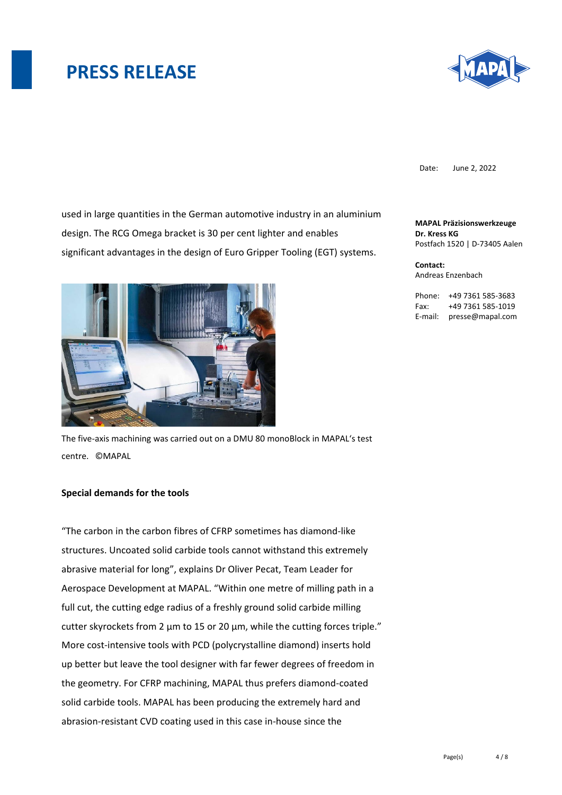

Date: June 2, 2022

used in large quantities in the German automotive industry in an aluminium design. The RCG Omega bracket is 30 per cent lighter and enables significant advantages in the design of Euro Gripper Tooling (EGT) systems.



The five-axis machining was carried out on a DMU 80 monoBlock in MAPAL's test centre. ©MAPAL

#### **Special demands for the tools**

"The carbon in the carbon fibres of CFRP sometimes has diamond-like structures. Uncoated solid carbide tools cannot withstand this extremely abrasive material for long", explains Dr Oliver Pecat, Team Leader for Aerospace Development at MAPAL. "Within one metre of milling path in a full cut, the cutting edge radius of a freshly ground solid carbide milling cutter skyrockets from 2 µm to 15 or 20 µm, while the cutting forces triple." More cost-intensive tools with PCD (polycrystalline diamond) inserts hold up better but leave the tool designer with far fewer degrees of freedom in the geometry. For CFRP machining, MAPAL thus prefers diamond-coated solid carbide tools. MAPAL has been producing the extremely hard and abrasion-resistant CVD coating used in this case in-house since the

**MAPAL Präzisionswerkzeuge Dr. Kress KG** Postfach 1520 | D-73405 Aalen

**Contact:**  Andreas Enzenbach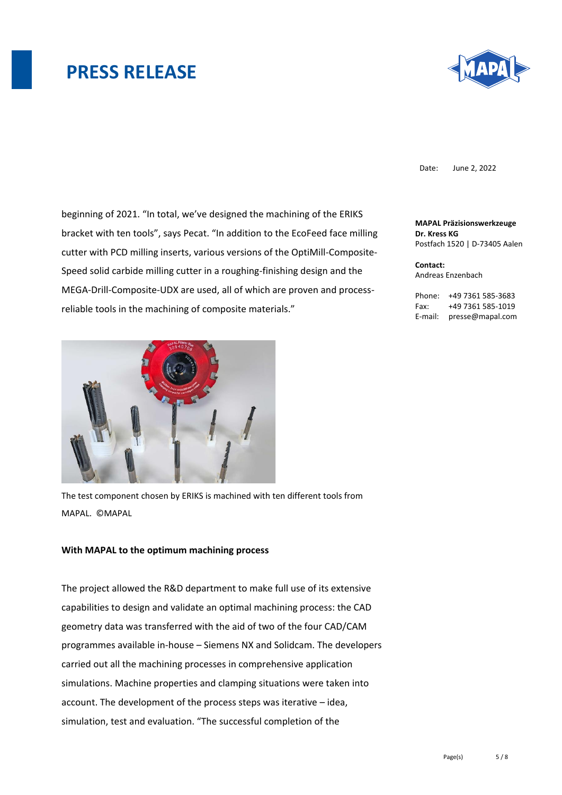

Date: June 2, 2022

beginning of 2021. "In total, we've designed the machining of the ERIKS bracket with ten tools", says Pecat. "In addition to the EcoFeed face milling cutter with PCD milling inserts, various versions of the OptiMill-Composite-Speed solid carbide milling cutter in a roughing-finishing design and the MEGA-Drill-Composite-UDX are used, all of which are proven and processreliable tools in the machining of composite materials."



The test component chosen by ERIKS is machined with ten different tools from MAPAL. ©MAPAL

#### **With MAPAL to the optimum machining process**

The project allowed the R&D department to make full use of its extensive capabilities to design and validate an optimal machining process: the CAD geometry data was transferred with the aid of two of the four CAD/CAM programmes available in-house – Siemens NX and Solidcam. The developers carried out all the machining processes in comprehensive application simulations. Machine properties and clamping situations were taken into account. The development of the process steps was iterative – idea, simulation, test and evaluation. "The successful completion of the

**MAPAL Präzisionswerkzeuge Dr. Kress KG** Postfach 1520 | D-73405 Aalen

**Contact:**  Andreas Enzenbach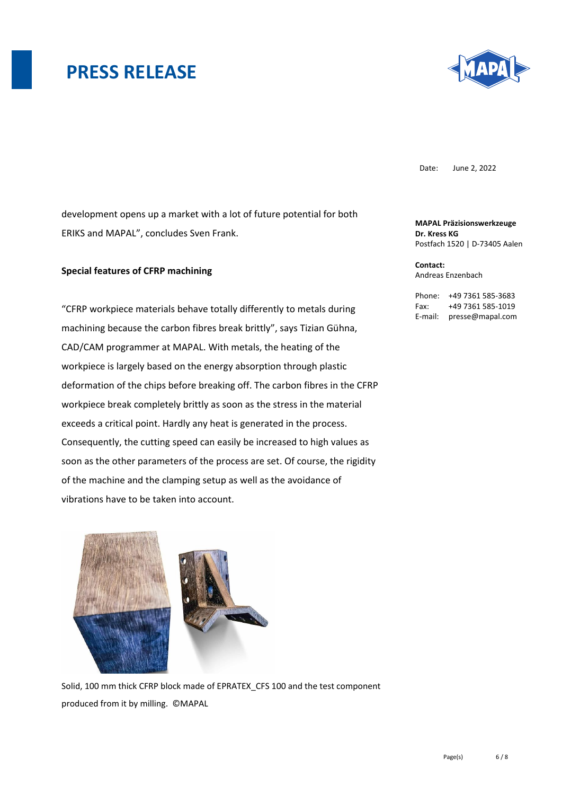

Date: June 2, 2022

development opens up a market with a lot of future potential for both ERIKS and MAPAL", concludes Sven Frank.

#### **Special features of CFRP machining**

"CFRP workpiece materials behave totally differently to metals during machining because the carbon fibres break brittly", says Tizian Gühna, CAD/CAM programmer at MAPAL. With metals, the heating of the workpiece is largely based on the energy absorption through plastic deformation of the chips before breaking off. The carbon fibres in the CFRP workpiece break completely brittly as soon as the stress in the material exceeds a critical point. Hardly any heat is generated in the process. Consequently, the cutting speed can easily be increased to high values as soon as the other parameters of the process are set. Of course, the rigidity of the machine and the clamping setup as well as the avoidance of vibrations have to be taken into account.



Solid, 100 mm thick CFRP block made of EPRATEX\_CFS 100 and the test component produced from it by milling. ©MAPAL

**MAPAL Präzisionswerkzeuge Dr. Kress KG** Postfach 1520 | D-73405 Aalen

**Contact:**  Andreas Enzenbach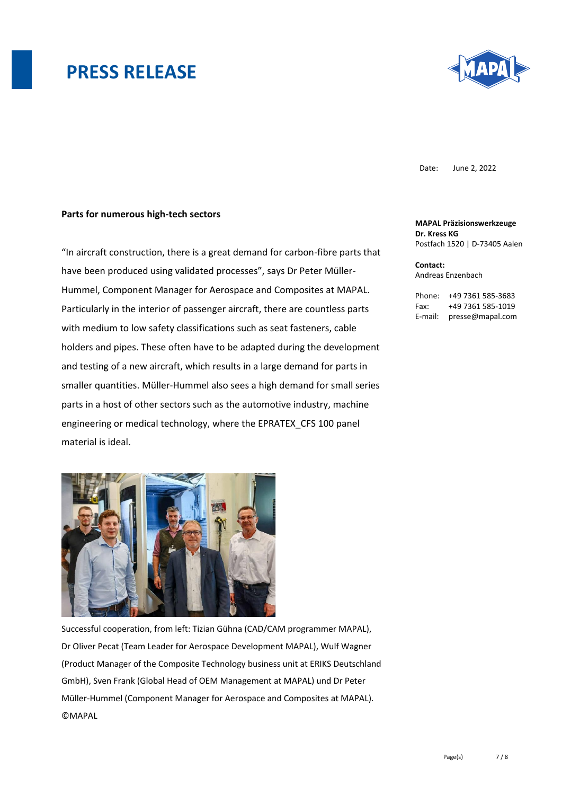

Date: June 2, 2022

#### **Parts for numerous high-tech sectors**

"In aircraft construction, there is a great demand for carbon-fibre parts that have been produced using validated processes", says Dr Peter Müller-Hummel, Component Manager for Aerospace and Composites at MAPAL. Particularly in the interior of passenger aircraft, there are countless parts with medium to low safety classifications such as seat fasteners, cable holders and pipes. These often have to be adapted during the development and testing of a new aircraft, which results in a large demand for parts in smaller quantities. Müller-Hummel also sees a high demand for small series parts in a host of other sectors such as the automotive industry, machine engineering or medical technology, where the EPRATEX\_CFS 100 panel material is ideal.



Successful cooperation, from left: Tizian Gühna (CAD/CAM programmer MAPAL), Dr Oliver Pecat (Team Leader for Aerospace Development MAPAL), Wulf Wagner (Product Manager of the Composite Technology business unit at ERIKS Deutschland GmbH), Sven Frank (Global Head of OEM Management at MAPAL) und Dr Peter Müller-Hummel (Component Manager for Aerospace and Composites at MAPAL). **©MAPAL** 

**MAPAL Präzisionswerkzeuge Dr. Kress KG** Postfach 1520 | D-73405 Aalen

**Contact:**  Andreas Enzenbach